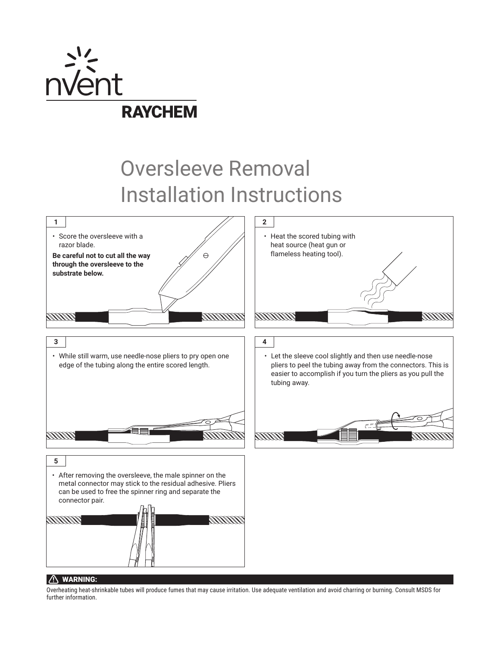

## Oversleeve Removal Installation Instructions



## $\bigcap$  WARNING:

Overheating heat-shrinkable tubes will produce fumes that may cause irritation. Use adequate ventilation and avoid charring or burning. Consult MSDS for further information.